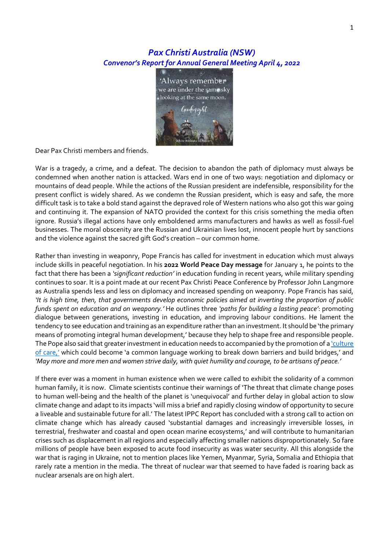## *Pax Christi Australia (NSW) Convenor's Report for Annual General Meeting April 4, 2022*



Dear Pax Christi members and friends.

War is a tragedy, a crime, and a defeat. The decision to abandon the path of diplomacy must always be condemned when another nation is attacked. Wars end in one of two ways: negotiation and diplomacy or mountains of dead people. While the actions of the Russian president are indefensible, responsibility for the present conflict is widely shared. As we condemn the Russian president, which is easy and safe, the more difficult task is to take a bold stand against the depraved role of Western nations who also got this war going and continuing it. The expansion of NATO provided the context for this crisis something the media often ignore. Russia's illegal actions have only emboldened arms manufacturers and hawks as well as fossil-fuel businesses. The moral obscenity are the Russian and Ukrainian lives lost, innocent people hurt by sanctions and the violence against the sacred gift God's creation – our common home.

Rather than investing in weaponry, Pope Francis has called for investment in education which must always include skills in peaceful negotiation. In his **2022 World Peace Day message** for January 1, he points to the fact that there has been a *'significant reduction'* in education funding in recent years, while military spending continues to soar. It is a point made at our recent Pax Christi Peace Conference by Professor John Langmore as Australia spends less and less on diplomacy and increased spending on weaponry. Pope Francis has said, *'It is high time, then, that governments develop economic policies aimed at inverting the proportion of public funds spent on education and on weaponry.'* He outlines three *'paths for building a lasting peace'*: promoting dialogue between generations, investing in education, and improving labour conditions. He lament the tendency to see education and training as an expenditure rather than an investment. It should be 'the primary means of promoting integral human development,' because they help to shape free and responsible people. The Pope also said that greater investment in education needs to accompanied by the promotion of a 'culture [of care,'](https://www.catholicnewsagency.com/news/46944/pope-francis-calls-for-culture-of-care-in-2021-world-peace-day-message) which could become 'a common language working to break down barriers and build bridges,' and *'May more and more men and women strive daily, with quiet humility and courage, to be artisans of peace.'*

If there ever was a moment in human existence when we were called to exhibit the solidarity of a common human family, it is now. Climate scientists continue their warnings of 'The threat that climate change poses to human well-being and the health of the planet is 'unequivocal' and further delay in global action to slow climate change and adapt to its impacts 'will miss a brief and rapidly closing window of opportunity to secure a liveable and sustainable future for all.' The latest IPPC Report has concluded with a strong call to action on climate change which has already caused 'substantial damages and increasingly irreversible losses, in terrestrial, freshwater and coastal and open ocean marine ecosystems,' and will contribute to humanitarian crises such as displacement in all regions and especially affecting smaller nations disproportionately. So fare millions of people have been exposed to acute food insecurity as was water security. All this alongside the war that is raging in Ukraine, not to mention places like Yemen, Myanmar, Syria, Somalia and Ethiopia that rarely rate a mention in the media. The threat of nuclear war that seemed to have faded is roaring back as nuclear arsenals are on high alert.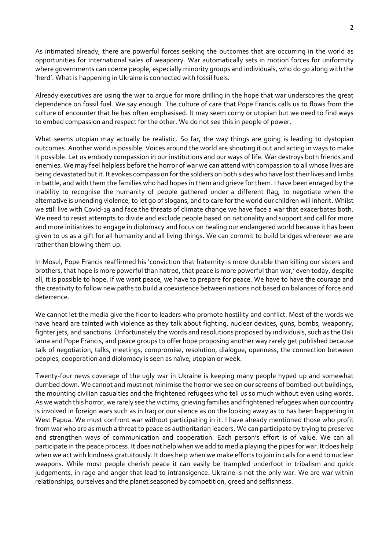As intimated already, there are powerful forces seeking the outcomes that are occurring in the world as opportunities for international sales of weaponry. War automatically sets in motion forces for uniformity where governments can coerce people, especially minority groups and individuals, who do go along with the 'herd'. What is happening in Ukraine is connected with fossil fuels.

Already executives are using the war to argue for more drilling in the hope that war underscores the great dependence on fossil fuel. We say enough. The culture of care that Pope Francis calls us to flows from the culture of encounter that he has often emphasised. It may seem corny or utopian but we need to find ways to embed compassion and respect for the other. We do not see this in people of power.

What seems utopian may actually be realistic. So far, the way things are going is leading to dystopian outcomes. Another world is possible. Voices around the world are shouting it out and acting in ways to make it possible. Let us embody compassion in our institutions and our ways of life. War destroys both friends and enemies. We may feel helpless before the horror of war we can attend with compassion to all whose lives are being devastated but it. It evokes compassion for the soldiers on both sides who have lost their lives and limbs in battle, and with them the families who had hopes in them and grieve for them. I have been enraged by the inability to recognise the humanity of people gathered under a different flag, to negotiate when the alternative is unending violence, to let go of slogans, and to care for the world our children will inherit. Whilst we still live with Covid-19 and face the threats of climate change we have face a war that exacerbates both. We need to resist attempts to divide and exclude people based on nationality and support and call for more and more initiatives to engage in diplomacy and focus on healing our endangered world because it has been given to us as a gift for all humanity and all living things. We can commit to build bridges wherever we are rather than blowing them up.

In Mosul, Pope Francis reaffirmed his 'conviction that fraternity is more durable than killing our sisters and brothers, that hope is more powerful than hatred, that peace is more powerful than war,' even today, despite all, it is possible to hope. If we want peace, we have to prepare for peace. We have to have the courage and the creativity to follow new paths to build a coexistence between nations not based on balances of force and deterrence.

We cannot let the media give the floor to leaders who promote hostility and conflict. Most of the words we have heard are tainted with violence as they talk about fighting, nuclear devices, guns, bombs, weaponry, fighter jets, and sanctions. Unfortunately the words and resolutions proposed by individuals, such as the Dali lama and Pope Francis, and peace groups to offer hope proposing another way rarely get published because talk of negotiation, talks, meetings, compromise, resolution, dialogue, openness, the connection between peoples, cooperation and diplomacy is seen as naïve, utopian or week.

Twenty-four news coverage of the ugly war in Ukraine is keeping many people hyped up and somewhat dumbed down. We cannot and must not minimise the horror we see on our screens of bombed-out buildings, the mounting civilian casualties and the frightened refugees who tell us so much without even using words. As we watch this horror, we rarely see the victims, grieving families and frightened refugees when our country is involved in foreign wars such as in Iraq or our silence as on the looking away as to has been happening in West Papua. We must confront war without participating in it. I have already mentioned those who profit from war who are as much a threat to peace as authoritarian leaders. We can participate by trying to preserve and strengthen ways of communication and cooperation. Each person's effort is of value. We can all participate in the peace process. It does not help when we add to media playing the pipes for war. It does help when we act with kindness gratuitously. It does help when we make efforts to join in calls for a end to nuclear weapons. While most people cherish peace it can easily be trampled underfoot in tribalism and quick judgements, in rage and anger that lead to intransigence. Ukraine is not the only war. We are war within relationships, ourselves and the planet seasoned by competition, greed and selfishness.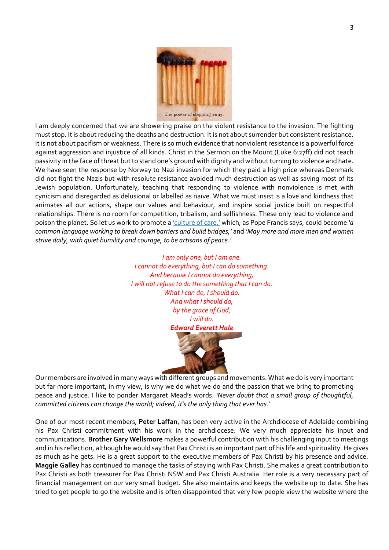

I am deeply concerned that we are showering praise on the violent resistance to the invasion. The fighting must stop. It is about reducing the deaths and destruction. It is not about surrender but consistent resistance. It is not about pacifism or weakness. There is so much evidence that nonviolent resistance is a powerful force against aggression and injustice of all kinds. Christ in the Sermon on the Mount (Luke 6:27ff) did not teach passivity in the face of threat but to stand one's ground with dignity and without turning to violence and hate. We have seen the response by Norway to Nazi invasion for which they paid a high price whereas Denmark did not fight the Nazis but with resolute resistance avoided much destruction as well as saving most of its Jewish population. Unfortunately, teaching that responding to violence with nonviolence is met with cynicism and disregarded as delusional or labelled as naïve. What we must insist is a love and kindness that animates all our actions, shape our values and behaviour, and inspire social justice built on respectful relationships. There is no room for competition, tribalism, and selfishness. These only lead to violence and poison the planet. So let us work to promote [a 'culture of care,'](https://www.catholicnewsagency.com/news/46944/pope-francis-calls-for-culture-of-care-in-2021-world-peace-day-message) which, as Pope Francis says, could become *'a common language working to break down barriers and build bridges,'* and '*May more and more men and women strive daily, with quiet humility and courage, to be artisans of peace.'*

> *I am only one, but I am one. I cannot do everything, but I can do something. And because I cannot do everything, I will not refuse to do the something that I can do. What I can do, I should do. And what I should do, by the grace of God, I will do. Edward Everett Hale*

Our members are involved in many ways with different groups and movements. What we do is very important but far more important, in my view, is why we do what we do and the passion that we bring to promoting peace and justice. I like to ponder Margaret Mead's words: *'Never doubt that a small group of thoughtful, committed citizens can change the world; indeed, it's the only thing that ever has.*'

One of our most recent members, **Peter Laffan**, has been very active in the Archdiocese of Adelaide combining his Pax Christi commitment with his work in the archdiocese. We very much appreciate his input and communications. **Brother Gary Wellsmore** makes a powerful contribution with his challenging input to meetings and in his reflection, although he would say that Pax Christi is an important part of his life and spirituality. He gives as much as he gets. He is a great support to the executive members of Pax Christi by his presence and advice. **Maggie Galley** has continued to manage the tasks of staying with Pax Christi. She makes a great contribution to Pax Christi as both treasurer for Pax Christi NSW and Pax Christi Australia. Her role is a very necessary part of financial management on our very small budget. She also maintains and keeps the website up to date. She has tried to get people to go the website and is often disappointed that very few people view the website where the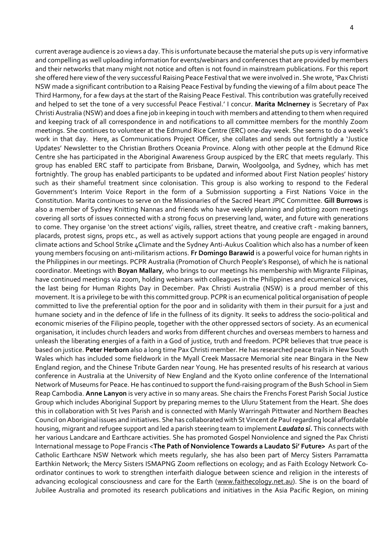current average audience is 20 views a day. This is unfortunate because the material she puts up is very informative and compelling as well uploading information for events/webinars and conferences that are provided by members and their networks that many might not notice and often is not found in mainstream publications. For this report she offered here view of the very successful Raising Peace Festival that we were involved in. She wrote, 'Pax Christi NSW made a significant contribution to a Raising Peace Festival by funding the viewing of a film about peace The Third Harmony, for a few days at the start of the Raising Peace Festival. This contribution was gratefully received and helped to set the tone of a very successful Peace Festival.' I concur. **Marita McInerney** is Secretary of Pax Christi Australia (NSW) and does a fine job in keeping in touch with members and attending to them when required and keeping track of all correspondence in and notifications to all committee members for the monthly Zoom meetings. She continues to volunteer at the Edmund Rice Centre (ERC) one-day week. She seems to do a week's work in that day. Here, as Communications Project Officer, she collates and sends out fortnightly a 'Justice Updates' Newsletter to the Christian Brothers Oceania Province. Along with other people at the Edmund Rice Centre she has participated in the Aboriginal Awareness Group auspiced by the ERC that meets regularly. This group has enabled ERC staff to participate from Brisbane, Darwin, Woolgoolga, and Sydney, which has met fortnightly. The group has enabled participants to be updated and informed about First Nation peoples' history such as their shameful treatment since colonisation. This group is also working to respond to the Federal Government's Interim Voice Report in the form of a Submission supporting a First Nations Voice in the Constitution. Marita continues to serve on the Missionaries of the Sacred Heart JPIC Committee. **Gill Burrows** is also a member of Sydney Knitting Nannas and friends who have weekly planning and plotting zoom meetings covering all sorts of issues connected with a strong focus on preserving land, water, and future with generations to come. They organise 'on the street actions' vigils, rallies, street theatre, and creative craft - making banners, placards, protest signs, props etc., as well as actively support actions that young people are engaged in around climate actions and School Strike 4Climate and the Sydney Anti-Aukus Coalition which also has a number of keen young members focusing on anti-militarism actions. **Fr Domingo Barawid** is a powerful voice for human rights in the Philippines in our meetings. PCPR Australia (Promotion of Church People's Response), of which he is national coordinator. Meetings with **Boyan Mallary**, who brings to our meetings his membership with Migrante Filipinas, have continued meetings via zoom, holding webinars with colleagues in the Philippines and ecumenical services, the last being for Human Rights Day in December. Pax Christi Australia (NSW) is a proud member of this movement. It is a privilege to be with this committed group. PCPR is an ecumenical political organisation of people committed to live the preferential option for the poor and in solidarity with them in their pursuit for a just and humane society and in the defence of life in the fullness of its dignity. It seeks to address the socio-political and economic miseries of the Filipino people, together with the other oppressed sectors of society. As an ecumenical organisation, it includes church leaders and works from different churches and overseas members to harness and unleash the liberating energies of a faith in a God of justice, truth and freedom. PCPR believes that true peace is based on justice. **Peter Herborn** also a long time Pax Christi member. He has researched peace trails in New South Wales which has included some fieldwork in the Myall Creek Massacre Memorial site near Bingara in the New England region, and the Chinese Tribute Garden near Young. He has presented results of his research at various conference in Australia at the University of New England and the Kyoto online conference of the International Network of Museums for Peace. He has continued to support the fund-raising program of the Bush School in Siem Reap Cambodia. **Anne Lanyon** is very active in so many areas. She chairs the Frenchs Forest Parish Social Justice Group which includes Aboriginal Support by preparing memes to the Uluru Statement from the Heart. She does this in collaboration with St Ives Parish and is connected with Manly Warringah Pittwater and Northern Beaches Council on Aboriginal issues and initiatives. She has collaborated with St Vincent de Paul regarding local affordable housing, migrant and refugee support and led a parish steering team to implement *Laudato si.* This connects with her various Landcare and Earthcare activities. She has promoted Gospel Nonviolence and signed the Pax Christi International message to Pope Francis <**The Path of Nonviolence Towards a Laudato Si' Future>** As part of the Catholic Earthcare NSW Network which meets regularly, she has also been part of Mercy Sisters Parramatta Earthkin Network; the Mercy Sisters ISMAPNG Zoom reflections on ecology; and as Faith Ecology Network Coordinator continues to work to strengthen interfaith dialogue between science and religion in the interests of advancing ecological consciousness and care for the Earth [\(www.faithecology.net.au\)](http://www.faithecology.net.au/). She is on the board of Jubilee Australia and promoted its research publications and initiatives in the Asia Pacific Region, on mining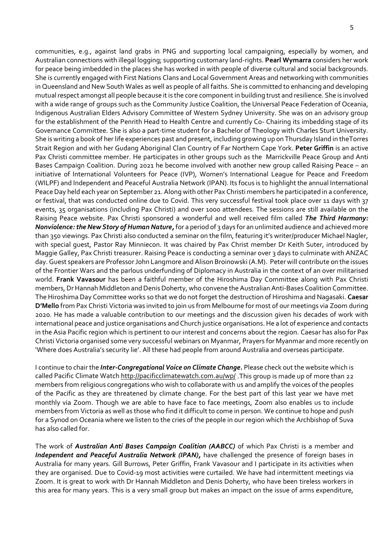communities, e.g., against land grabs in PNG and supporting local campaigning, especially by women, and Australian connections with illegal logging; supporting customary land-rights. **Pearl Wymarra** considers her work for peace being imbedded in the places she has worked in with people of diverse cultural and social backgrounds. She is currently engaged with First Nations Clans and Local Government Areas and networking with communities in Queensland and New South Wales as well as people of all faiths. She is committed to enhancing and developing mutual respect amongst all people because it is the core component in building trust and resilience. She is involved with a wide range of groups such as the Community Justice Coalition, the Universal Peace Federation of Oceania, Indigenous Australian Elders Advisory Committee of Western Sydney University. She was on an advisory group for the establishment of the Penrith Head to Health Centre and currently Co- Chairing its imbedding stage of its Governance Committee. She is also a part-time student for a Bachelor of Theology with Charles Sturt University. She is writing a book of her life experiences past and present, including growing up on Thursday Island in theTorres Strait Region and with her Gudang Aboriginal Clan Country of Far Northern Cape York. **Peter Griffin** is an active Pax Christi committee member. He participates in other groups such as the Marrickville Peace Group and Anti Bases Campaign Coalition. During 2021 he become involved with another new group called Raising Peace – an initiative of International Volunteers for Peace (IVP), Women's International League for Peace and Freedom (WILPF) and Independent and Peaceful Australia Network (IPAN). Its focus is to highlight the annual International Peace Day held each year on September 21. Along with other Pax Christi members he participated in a conference, or festival, that was conducted online due to Covid. This very successful festival took place over 11 days with 37 events, 35 organisations (including Pax Christi) and over 1000 attendees. The sessions are still available on the Raising Peace website. Pax Christi sponsored a wonderful and well received film called *The Third Harmony: Nonviolence: the New Story of Human Nature,* for a period of 3 days for an unlimited audience and achieved more than 350 viewings. Pax Christi also conducted a seminar on the film, featuring it's writer/producer Michael Nagler, with special guest, Pastor Ray Minniecon. It was chaired by Pax Christ member Dr Keith Suter, introduced by Maggie Galley, Pax Christi treasurer. Raising Peace is conducting a seminar over 3 days to culminate with ANZAC day. Guest speakers are Professor John Langmore and Alison Broinowski (A.M). Peter will contribute on the issues of the Frontier Wars and the parlous underfunding of Diplomacy in Australia in the context of an over militarised world. **Frank Vavasour** has been a faithful member of the Hiroshima Day Committee along with Pax Christi members, Dr Hannah Middleton and Denis Doherty, who convene the Australian Anti-Bases Coalition Committee. The Hiroshima Day Committee works so that we do not forget the destruction of Hiroshima and Nagasaki. **Caesar D'Mello** from Pax Christi Victoria was invited to join us from Melbourne for most of our meetings via Zoom during 2020. He has made a valuable contribution to our meetings and the discussion given his decades of work with international peace and justice organisations and Church justice organisations. He a lot of experience and contacts in the Asia Pacific region which is pertinent to our interest and concerns about the region. Caesar has also for Pax Christi Victoria organised some very successful webinars on Myanmar, Prayers for Myanmar and more recently on 'Where does Australia's security lie'. All these had people from around Australia and overseas participate.

I continue to chair the *Inter-Congregational Voice on Climate Change.* Please check out the website which is called Pacific Climate Watch<http://pacificclimatewatch.com.au/wp/> .This group is made up of more than 22 members from religious congregations who wish to collaborate with us and amplify the voices of the peoples of the Pacific as they are threatened by climate change. For the best part of this last year we have met monthly via Zoom. Though we are able to have face to face meetings, Zoom also enables us to include members from Victoria as well as those who find it difficult to come in person. We continue to hope and push for a Synod on Oceania where we listen to the cries of the people in our region which the Archbishop of Suva has also called for.

The work of *Australian Anti Bases Campaign Coalition (AABCC)* of which Pax Christi is a member and *Independent and Peaceful Australia Network (IPAN),* have challenged the presence of foreign bases in Australia for many years. Gill Burrows, Peter Griffin, Frank Vavasour and I participate in its activities when they are organised. Due to Covid-19 most activities were curtailed. We have had intermittent meetings via Zoom. It is great to work with Dr Hannah Middleton and Denis Doherty, who have been tireless workers in this area for many years. This is a very small group but makes an impact on the issue of arms expenditure,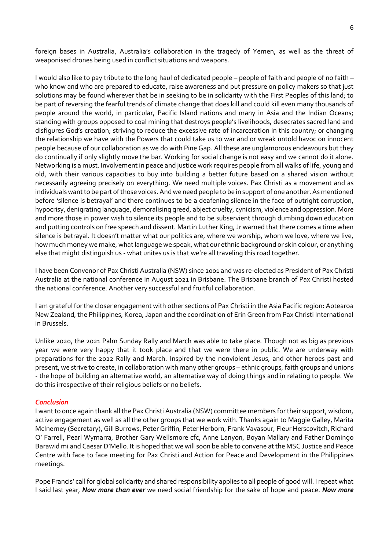foreign bases in Australia, Australia's collaboration in the tragedy of Yemen, as well as the threat of weaponised drones being used in conflict situations and weapons.

I would also like to pay tribute to the long haul of dedicated people – people of faith and people of no faith – who know and who are prepared to educate, raise awareness and put pressure on policy makers so that just solutions may be found wherever that be in seeking to be in solidarity with the First Peoples of this land; to be part of reversing the fearful trends of climate change that does kill and could kill even many thousands of people around the world, in particular, Pacific Island nations and many in Asia and the Indian Oceans; standing with groups opposed to coal mining that destroys people's livelihoods, desecrates sacred land and disfigures God's creation; striving to reduce the excessive rate of incarceration in this country; or changing the relationship we have with the Powers that could take us to war and or wreak untold havoc on innocent people because of our collaboration as we do with Pine Gap. All these are unglamorous endeavours but they do continually if only slightly move the bar. Working for social change is not easy and we cannot do it alone. Networking is a must. Involvement in peace and justice work requires people from all walks of life, young and old, with their various capacities to buy into building a better future based on a shared vision without necessarily agreeing precisely on everything. We need multiple voices. Pax Christi as a movement and as individuals want to be part of those voices. And we need people to be in support of one another. As mentioned before 'silence is betrayal' and there continues to be a deafening silence in the face of outright corruption, hypocrisy, denigrating language, demoralising greed, abject cruelty, cynicism, violence and oppression. More and more those in power wish to silence its people and to be subservient through dumbing down education and putting controls on free speech and dissent. Martin Luther King, Jr warned that there comes a time when silence is betrayal. It doesn't matter what our politics are, where we worship, whom we love, where we live, how much money we make, what language we speak, what our ethnic background or skin colour, or anything else that might distinguish us - what unites us is that we're all traveling this road together.

I have been Convenor of Pax Christi Australia (NSW) since 2001 and was re-elected as President of Pax Christi Australia at the national conference in August 2021 in Brisbane. The Brisbane branch of Pax Christi hosted the national conference. Another very successful and fruitful collaboration.

I am grateful for the closer engagement with other sections of Pax Christi in the Asia Pacific region: Aotearoa New Zealand, the Philippines, Korea, Japan and the coordination of Erin Green from Pax Christi International in Brussels.

Unlike 2020, the 2021 Palm Sunday Rally and March was able to take place. Though not as big as previous year we were very happy that it took place and that we were there in public. We are underway with preparations for the 2022 Rally and March. Inspired by the nonviolent Jesus, and other heroes past and present, we strive to create, in collaboration with many other groups – ethnic groups, faith groups and unions - the hope of building an alternative world, an alternative way of doing things and in relating to people. We do this irrespective of their religious beliefs or no beliefs.

## *Conclusion*

I want to once again thank all the Pax Christi Australia (NSW) committee members for their support, wisdom, active engagement as well as all the other groups that we work with. Thanks again to Maggie Galley, Marita McInerney (Secretary), Gill Burrows, Peter Griffin, Peter Herborn, Frank Vavasour, Fleur Herscovitch, Richard O' Farrell, Pearl Wymarra, Brother Gary Wellsmore cfc, Anne Lanyon, Boyan Mallary and Father Domingo Barawid mi and Caesar D'Mello. It is hoped that we will soon be able to convene at the MSC Justice and Peace Centre with face to face meeting for Pax Christi and Action for Peace and Development in the Philippines meetings.

Pope Francis' call for global solidarity and shared responsibility applies to all people of good will. I repeat what I said last year, *Now more than ever* we need social friendship for the sake of hope and peace. *Now more*